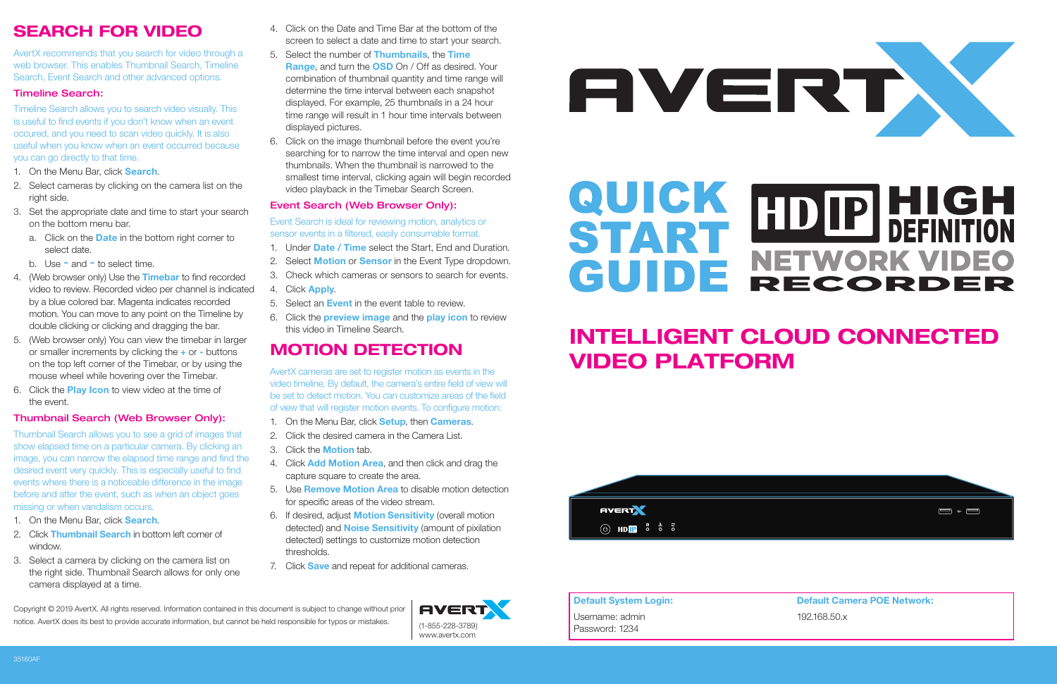## **INTELLIGENT CLOUD CONNECTED VIDEO PLATFORM**



**Default System Login:** Username: admin Password: 1234

**Default Camera POE Network:** 192.168.50.x



Copyright © 2019 AvertX. All rights reserved. Information contained in this document is subject to change without prior notice. AvertX does its best to provide accurate information, but cannot be held responsible for typos or mistakes.



 $\blacksquare$  +  $\blacksquare$ 

## **SEARCH FOR VIDEO**

AvertX recommends that you search for video through a web browser. This enables Thumbnail Search, Timeline Search, Event Search and other advanced options.

#### Timeline Search:

Timeline Search allows you to search video visually. This is useful to find events if you don't know when an event occured, and you need to scan video quickly. It is also useful when you know when an event occurred because you can go directly to that time.

- 1. On the Menu Bar, click **Search**.
- 2. Select cameras by clicking on the camera list on the right side.
- 3. Set the appropriate date and time to start your search on the bottom menu bar.
	- a. Click on the **Date** in the bottom right corner to select date.
	- b. Use  $\sim$  and  $\sim$  to select time.
- 4. (Web browser only) Use the **Timebar** to find recorded video to review. Recorded video per channel is indicated by a blue colored bar. Magenta indicates recorded motion. You can move to any point on the Timeline by double clicking or clicking and dragging the bar.
- 5. (Web browser only) You can view the timebar in larger or smaller increments by clicking the **+** or **-** buttons on the top left corner of the Timebar, or by using the mouse wheel while hovering over the Timebar.
- 6. Click the **Play Icon** to view video at the time of the event.

#### Thumbnail Search (Web Browser Only):

Thumbnail Search allows you to see a grid of images that show elapsed time on a particular camera. By clicking an image, you can narrow the elapsed time range and find the desired event very quickly. This is especially useful to find events where there is a noticeable difference in the image before and after the event, such as when an object goes missing or when vandalism occurs.

- 1. On the Menu Bar, click **Search**.
- 2. Click **Thumbnail Search** in bottom left corner of window.
- 3. Select a camera by clicking on the camera list on the right side. Thumbnail Search allows for only one camera displayed at a time.
- 4. Click on the Date and Time Bar at the bottom of the screen to select a date and time to start your search.
- 5. Select the number of **Thumbnails**, the **Time Range**, and turn the **OSD** On / Off as desired. Your combination of thumbnail quantity and time range will determine the time interval between each snapshot displayed. For example, 25 thumbnails in a 24 hour time range will result in 1 hour time intervals between displayed pictures.
- 6. Click on the image thumbnail before the event you're searching for to narrow the time interval and open new thumbnails. When the thumbnail is narrowed to the smallest time interval, clicking again will begin recorded video playback in the Timebar Search Screen.

#### Event Search (Web Browser Only):

Event Search is ideal for reviewing motion, analytics or sensor events in a filtered, easily consumable format.

- 1. Under **Date / Time** select the Start, End and Duration.
- 2. Select **Motion** or **Sensor** in the Event Type dropdown.
- 3. Check which cameras or sensors to search for events.
- 4. Click **Apply**.
- 5. Select an **Event** in the event table to review.
- 6. Click the **preview image** and the **play icon** to review this video in Timeline Search.

## **MOTION DETECTION**

AvertX cameras are set to register motion as events in the video timeline. By default, the camera's entire field of view will be set to detect motion. You can customize areas of the field of view that will register motion events. To configure motion:

- 1. On the Menu Bar, click **Setup**, then **Cameras**.
- 2. Click the desired camera in the Camera List.
- 3. Click the **Motion** tab.
- 4. Click **Add Motion Area**, and then click and drag the capture square to create the area.
- 5. Use **Remove Motion Area** to disable motion detection for specific areas of the video stream.
- 6. If desired, adjust **Motion Sensitivity** (overall motion detected) and **Noise Sensitivity** (amount of pixilation detected) settings to customize motion detection thresholds.
- 7. Click **Save** and repeat for additional cameras.

# **QUICK HDIP HIGH<br>START METWOPK VIDEO** GUIDE NETWORK VIDEO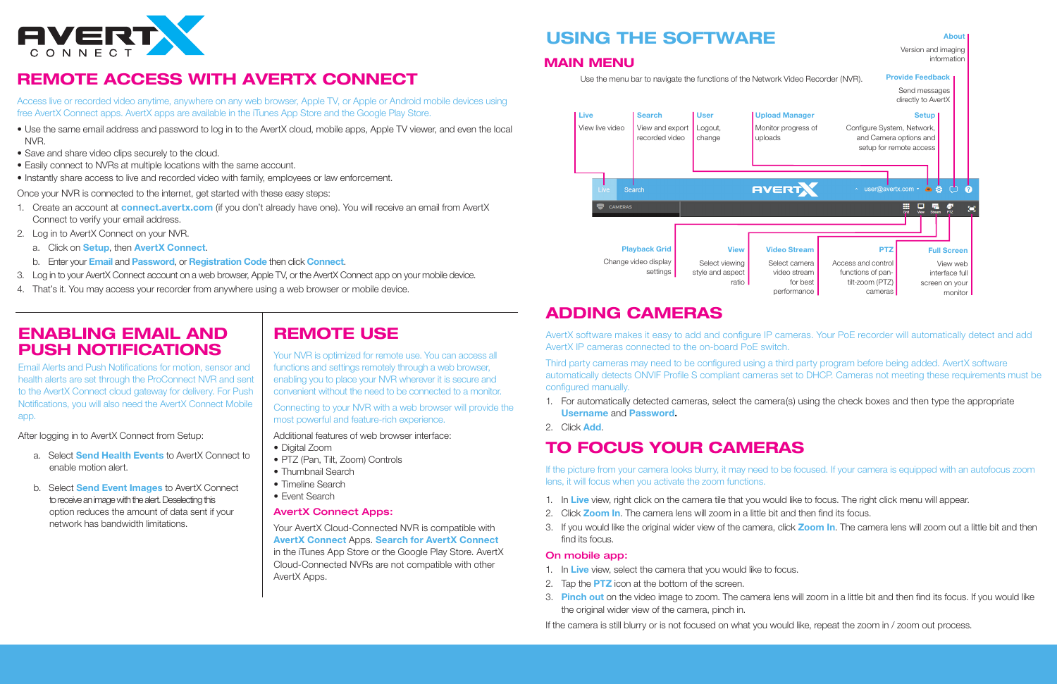

## **REMOTE ACCESS WITH AVERTX CONNECT**

Access live or recorded video anytime, anywhere on any web browser, Apple TV, or Apple or Android mobile devices using free AvertX Connect apps. AvertX apps are available in the iTunes App Store and the Google Play Store.

- Use the same email address and password to log in to the AvertX cloud, mobile apps, Apple TV viewer, and even the local NVR.
- Save and share video clips securely to the cloud.
- Easily connect to NVRs at multiple locations with the same account.
- Instantly share access to live and recorded video with family, employees or law enforcement.

Once your NVR is connected to the internet, get started with these easy steps:

AvertX software makes it easy to add and configure IP cameras. Your PoE recorder will automatically detect and add AvertX IP cameras connected to the on-board PoE switch.

Third party cameras may need to be configured using a third party program before being added. AvertX software automatically detects ONVIF Profile S compliant cameras set to DHCP. Cameras not meeting these requirements must be configured manually.

- 1. Create an account at **connect.avertx.com** (if you don't already have one). You will receive an email from AvertX Connect to verify your email address.
- 2. Log in to AvertX Connect on your NVR.
	- a. Click on **Setup**, then **AvertX Connect**.
	- b. Enter your **Email** and **Password**, or **Registration Code** then click **Connect**.
- 3. Log in to your AvertX Connect account on a web browser, Apple TV, or the AvertX Connect app on your mobile device.
- 4. That's it. You may access your recorder from anywhere using a web browser or mobile device.

- 1. In **Live** view, right click on the camera tile that you would like to focus. The right click menu will appear.
- 2. Click **Zoom In**. The camera lens will zoom in a little bit and then find its focus.
- find its focus.

## **ADDING CAMERAS**

- Digital Zoom
- PTZ (Pan, Tilt, Zoom) Controls
- Thumbnail Search
- Timeline Search
- Event Search

1. For automatically detected cameras, select the camera(s) using the check boxes and then type the appropriate

- **Username** and **Password.**
- 2. Click **Add**.

## **TO FOCUS YOUR CAMERAS**

Email Alerts and Push Notifications for motion, sensor and health alerts are set through the ProConnect NVR and sent to the AvertX Connect cloud gateway for delivery. For Push Notifications, you will also need the AvertX Connect Mobile app.

> If the picture from your camera looks blurry, it may need to be focused. If your camera is equipped with an autofocus zoom lens, it will focus when you activate the zoom functions.

> 3. If you would like the original wider view of the camera, click **Zoom In**. The camera lens will zoom out a little bit and then

3. Pinch out on the video image to zoom. The camera lens will zoom in a little bit and then find its focus. If you would like

#### On mobile app:

- 1. In **Live** view, select the camera that you would like to focus.
- 2. Tap the **PTZ** icon at the bottom of the screen.
- the original wider view of the camera, pinch in.

If the camera is still blurry or is not focused on what you would like, repeat the zoom in / zoom out process.

### **REMOTE USE**

Your NVR is optimized for remote use. You can access all functions and settings remotely through a web browser, enabling you to place your NVR wherever it is secure and convenient without the need to be connected to a monitor.

Connecting to your NVR with a web browser will provide the most powerful and feature-rich experience.

Additional features of web browser interface:

#### AvertX Connect Apps:

Your AvertX Cloud-Connected NVR is compatible with **AvertX Connect** Apps. **Search for AvertX Connect** in the iTunes App Store or the Google Play Store. AvertX Cloud-Connected NVRs are not compatible with other AvertX Apps.

## **ENABLING EMAIL AND PUSH NOTIFICATIONS**

After logging in to AvertX Connect from Setup:

- a. Select **Send Health Events** to AvertX Connect to enable motion alert.
- b. Select **Send Event Images** to AvertX Connect to receive an image with the alert. Deselecting this option reduces the amount of data sent if your network has bandwidth limitations.

## **USING THE SOFTWARE**

#### **MAIN MENU**